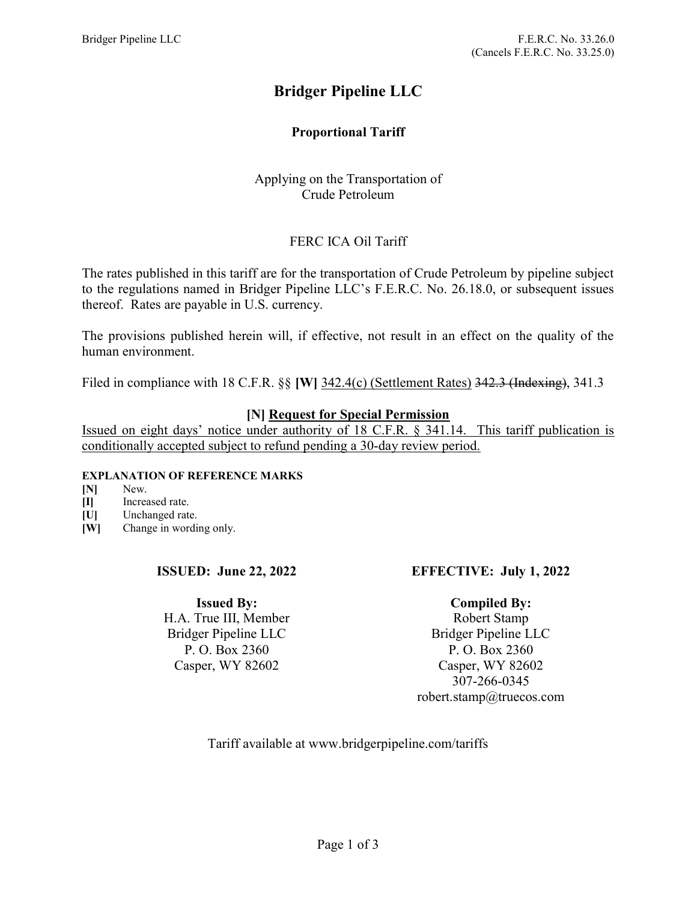# Bridger Pipeline LLC

# Proportional Tariff

# Applying on the Transportation of Crude Petroleum

# FERC ICA Oil Tariff

The rates published in this tariff are for the transportation of Crude Petroleum by pipeline subject to the regulations named in Bridger Pipeline LLC's F.E.R.C. No. 26.18.0, or subsequent issues thereof. Rates are payable in U.S. currency.

The provisions published herein will, if effective, not result in an effect on the quality of the human environment.

Filed in compliance with 18 C.F.R. §§ [W] 342.4(c) (Settlement Rates) 342.3 (Indexing), 341.3

### [N] Request for Special Permission

Issued on eight days' notice under authority of 18 C.F.R. § 341.14. This tariff publication is conditionally accepted subject to refund pending a 30-day review period.

#### EXPLANATION OF REFERENCE MARKS

- [N] New.
- [I] Increased rate.
- [U] Unchanged rate.
- [W] Change in wording only.

#### ISSUED: June 22, 2022

#### Issued By:

H.A. True III, Member Bridger Pipeline LLC P. O. Box 2360 Casper, WY 82602

# EFFECTIVE: July 1, 2022

# Compiled By:

Robert Stamp Bridger Pipeline LLC P. O. Box 2360 Casper, WY 82602 307-266-0345 robert.stamp@truecos.com

Tariff available at www.bridgerpipeline.com/tariffs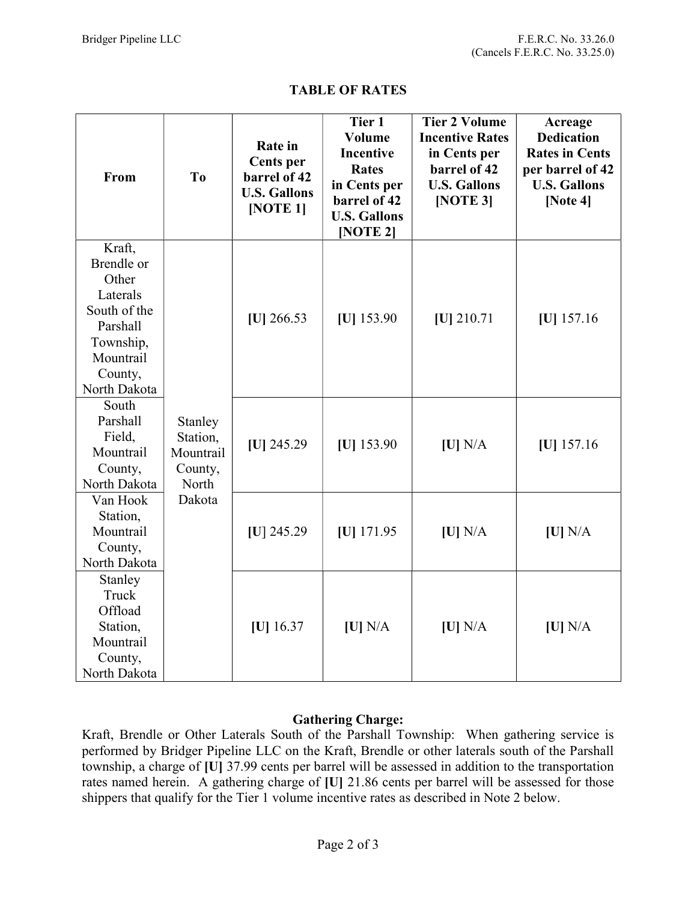| From                                                                                                                       | T <sub>0</sub>                                                 | <b>Rate</b> in<br><b>Cents</b> per<br>barrel of 42<br><b>U.S. Gallons</b><br>[NOTE 1] | Tier 1<br><b>Volume</b><br><b>Incentive</b><br><b>Rates</b><br>in Cents per<br>barrel of 42<br><b>U.S. Gallons</b><br>[NOTE 2] | <b>Tier 2 Volume</b><br><b>Incentive Rates</b><br>in Cents per<br>barrel of 42<br><b>U.S. Gallons</b><br>[NOTE 3] | Acreage<br><b>Dedication</b><br><b>Rates in Cents</b><br>per barrel of 42<br><b>U.S. Gallons</b><br>[Note $4$ ] |
|----------------------------------------------------------------------------------------------------------------------------|----------------------------------------------------------------|---------------------------------------------------------------------------------------|--------------------------------------------------------------------------------------------------------------------------------|-------------------------------------------------------------------------------------------------------------------|-----------------------------------------------------------------------------------------------------------------|
| Kraft,<br>Brendle or<br>Other<br>Laterals<br>South of the<br>Parshall<br>Township,<br>Mountrail<br>County,<br>North Dakota | Stanley<br>Station,<br>Mountrail<br>County,<br>North<br>Dakota | $[U]$ 266.53                                                                          | $[U]$ 153.90                                                                                                                   | $[U]$ 210.71                                                                                                      | $[U]$ 157.16                                                                                                    |
| South<br>Parshall<br>Field,<br>Mountrail<br>County,<br>North Dakota                                                        |                                                                | $ U $ 245.29                                                                          | $ U $ 153.90                                                                                                                   | [U] N/A                                                                                                           | $ U $ 157.16                                                                                                    |
| Van Hook<br>Station,<br>Mountrail<br>County,<br>North Dakota                                                               |                                                                | $ U $ 245.29                                                                          | $ U $ 171.95                                                                                                                   | [U] N/A                                                                                                           | [U] N/A                                                                                                         |
| Stanley<br>Truck<br>Offload<br>Station,<br>Mountrail<br>County,<br>North Dakota                                            |                                                                | $ U $ 16.37                                                                           | [U] N/A                                                                                                                        | [U] N/A                                                                                                           | [U] N/A                                                                                                         |

# TABLE OF RATES

# Gathering Charge:

Kraft, Brendle or Other Laterals South of the Parshall Township: When gathering service is performed by Bridger Pipeline LLC on the Kraft, Brendle or other laterals south of the Parshall township, a charge of [U] 37.99 cents per barrel will be assessed in addition to the transportation rates named herein. A gathering charge of [U] 21.86 cents per barrel will be assessed for those shippers that qualify for the Tier 1 volume incentive rates as described in Note 2 below.